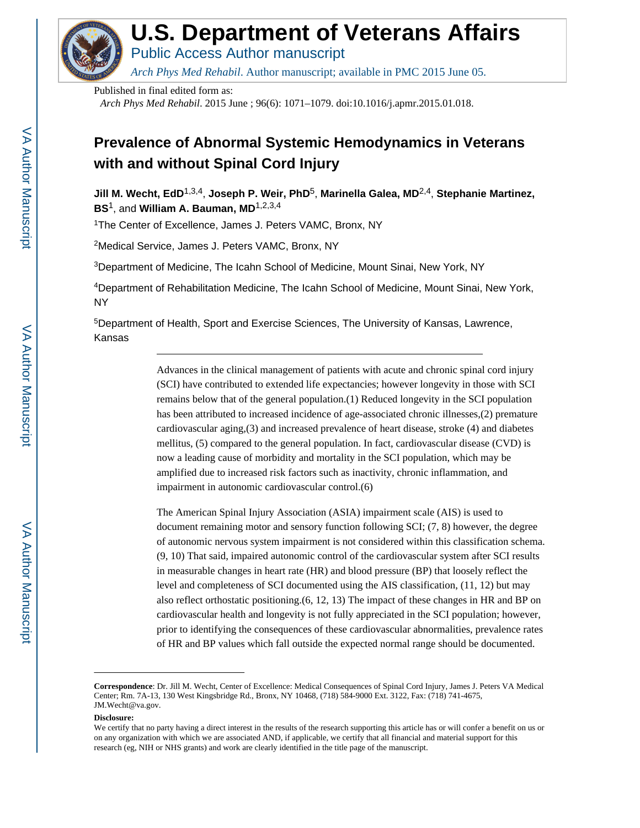

# **U.S. Department of Veterans Affairs**

Public Access Author manuscript

*Arch Phys Med Rehabil*. Author manuscript; available in PMC 2015 June 05.

Published in final edited form as:

*Arch Phys Med Rehabil*. 2015 June ; 96(6): 1071–1079. doi:10.1016/j.apmr.2015.01.018.

## **Prevalence of Abnormal Systemic Hemodynamics in Veterans with and without Spinal Cord Injury**

**Jill M. Wecht, EdD**1,3,4, **Joseph P. Weir, PhD**5, **Marinella Galea, MD**2,4, **Stephanie Martinez, BS**1, and **William A. Bauman, MD**1,2,3,4

<sup>1</sup>The Center of Excellence, James J. Peters VAMC, Bronx, NY

<sup>2</sup>Medical Service, James J. Peters VAMC, Bronx, NY

<sup>3</sup>Department of Medicine, The Icahn School of Medicine, Mount Sinai, New York, NY

<sup>4</sup>Department of Rehabilitation Medicine, The Icahn School of Medicine, Mount Sinai, New York, NY

<sup>5</sup>Department of Health, Sport and Exercise Sciences, The University of Kansas, Lawrence, Kansas

> Advances in the clinical management of patients with acute and chronic spinal cord injury (SCI) have contributed to extended life expectancies; however longevity in those with SCI remains below that of the general population.(1) Reduced longevity in the SCI population has been attributed to increased incidence of age-associated chronic illnesses,(2) premature cardiovascular aging,(3) and increased prevalence of heart disease, stroke (4) and diabetes mellitus, (5) compared to the general population. In fact, cardiovascular disease (CVD) is now a leading cause of morbidity and mortality in the SCI population, which may be amplified due to increased risk factors such as inactivity, chronic inflammation, and impairment in autonomic cardiovascular control.(6)

The American Spinal Injury Association (ASIA) impairment scale (AIS) is used to document remaining motor and sensory function following SCI; (7, 8) however, the degree of autonomic nervous system impairment is not considered within this classification schema. (9, 10) That said, impaired autonomic control of the cardiovascular system after SCI results in measurable changes in heart rate (HR) and blood pressure (BP) that loosely reflect the level and completeness of SCI documented using the AIS classification, (11, 12) but may also reflect orthostatic positioning.(6, 12, 13) The impact of these changes in HR and BP on cardiovascular health and longevity is not fully appreciated in the SCI population; however, prior to identifying the consequences of these cardiovascular abnormalities, prevalence rates of HR and BP values which fall outside the expected normal range should be documented.

#### **Disclosure:**

**Correspondence**: Dr. Jill M. Wecht, Center of Excellence: Medical Consequences of Spinal Cord Injury, James J. Peters VA Medical Center; Rm. 7A-13, 130 West Kingsbridge Rd., Bronx, NY 10468, (718) 584-9000 Ext. 3122, Fax: (718) 741-4675, JM.Wecht@va.gov.

We certify that no party having a direct interest in the results of the research supporting this article has or will confer a benefit on us or on any organization with which we are associated AND, if applicable, we certify that all financial and material support for this research (eg, NIH or NHS grants) and work are clearly identified in the title page of the manuscript.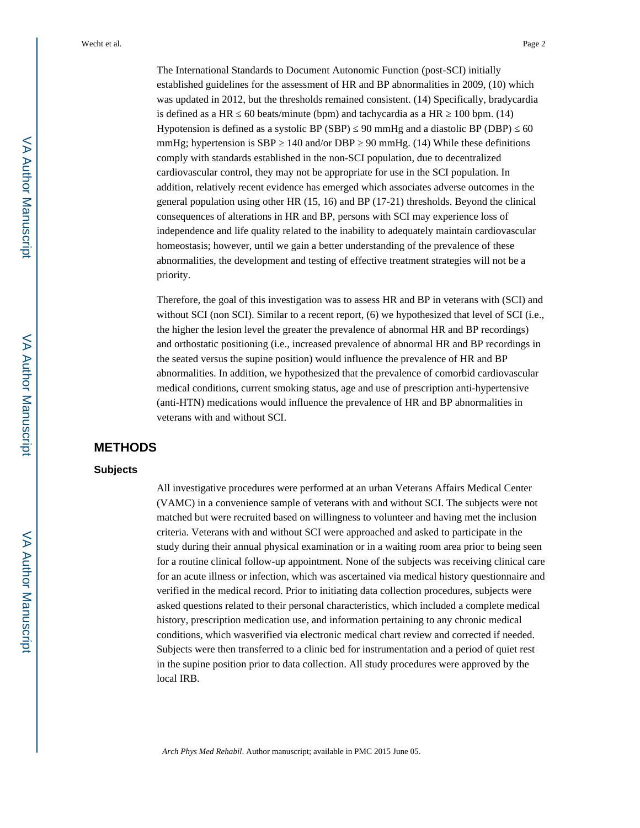The International Standards to Document Autonomic Function (post-SCI) initially established guidelines for the assessment of HR and BP abnormalities in 2009, (10) which was updated in 2012, but the thresholds remained consistent. (14) Specifically, bradycardia is defined as a HR  $\,$  60 beats/minute (bpm) and tachycardia as a HR  $\,$  100 bpm. (14) Hypotension is defined as a systolic BP  $(SBP) = 90$  mmHg and a diastolic BP (DBP) 60 mmHg; hypertension is SBP  $\,$  140 and/or DBP  $\,$  90 mmHg. (14) While these definitions comply with standards established in the non-SCI population, due to decentralized cardiovascular control, they may not be appropriate for use in the SCI population. In addition, relatively recent evidence has emerged which associates adverse outcomes in the general population using other HR (15, 16) and BP (17-21) thresholds. Beyond the clinical consequences of alterations in HR and BP, persons with SCI may experience loss of independence and life quality related to the inability to adequately maintain cardiovascular homeostasis; however, until we gain a better understanding of the prevalence of these abnormalities, the development and testing of effective treatment strategies will not be a priority.

Therefore, the goal of this investigation was to assess HR and BP in veterans with (SCI) and without SCI (non SCI). Similar to a recent report, (6) we hypothesized that level of SCI (i.e., the higher the lesion level the greater the prevalence of abnormal HR and BP recordings) and orthostatic positioning (i.e., increased prevalence of abnormal HR and BP recordings in the seated versus the supine position) would influence the prevalence of HR and BP abnormalities. In addition, we hypothesized that the prevalence of comorbid cardiovascular medical conditions, current smoking status, age and use of prescription anti-hypertensive (anti-HTN) medications would influence the prevalence of HR and BP abnormalities in veterans with and without SCI.

## **METHODS**

#### **Subjects**

All investigative procedures were performed at an urban Veterans Affairs Medical Center (VAMC) in a convenience sample of veterans with and without SCI. The subjects were not matched but were recruited based on willingness to volunteer and having met the inclusion criteria. Veterans with and without SCI were approached and asked to participate in the study during their annual physical examination or in a waiting room area prior to being seen for a routine clinical follow-up appointment. None of the subjects was receiving clinical care for an acute illness or infection, which was ascertained via medical history questionnaire and verified in the medical record. Prior to initiating data collection procedures, subjects were asked questions related to their personal characteristics, which included a complete medical history, prescription medication use, and information pertaining to any chronic medical conditions, which wasverified via electronic medical chart review and corrected if needed. Subjects were then transferred to a clinic bed for instrumentation and a period of quiet rest in the supine position prior to data collection. All study procedures were approved by the local IRB.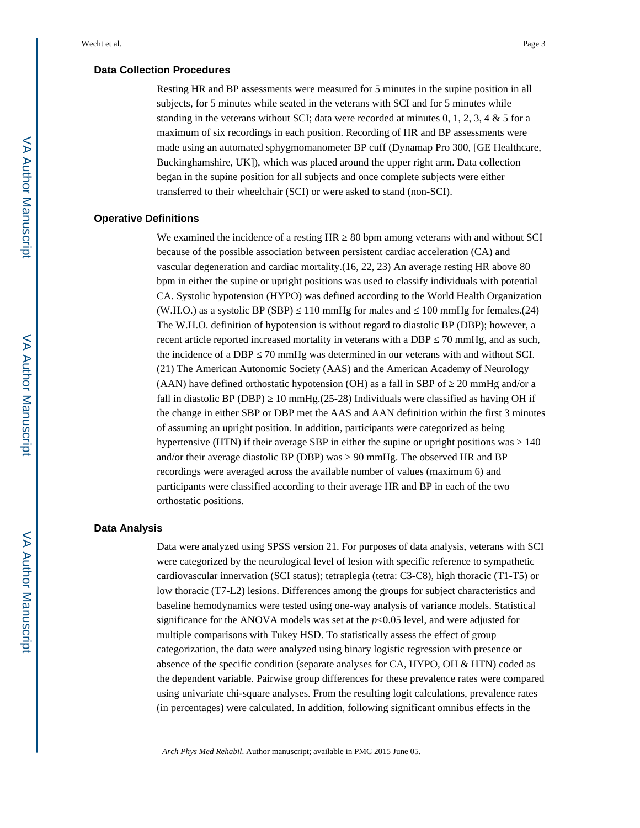#### **Data Collection Procedures**

Resting HR and BP assessments were measured for 5 minutes in the supine position in all subjects, for 5 minutes while seated in the veterans with SCI and for 5 minutes while standing in the veterans without SCI; data were recorded at minutes  $0, 1, 2, 3, 4 \& 5$  for a maximum of six recordings in each position. Recording of HR and BP assessments were made using an automated sphygmomanometer BP cuff (Dynamap Pro 300, [GE Healthcare, Buckinghamshire, UK]), which was placed around the upper right arm. Data collection began in the supine position for all subjects and once complete subjects were either transferred to their wheelchair (SCI) or were asked to stand (non-SCI).

#### **Operative Definitions**

We examined the incidence of a resting HR  $\,80$  bpm among veterans with and without SCI because of the possible association between persistent cardiac acceleration (CA) and vascular degeneration and cardiac mortality.(16, 22, 23) An average resting HR above 80 bpm in either the supine or upright positions was used to classify individuals with potential CA. Systolic hypotension (HYPO) was defined according to the World Health Organization (W.H.O.) as a systolic BP (SBP)  $110 \text{ mmHg}$  for males and  $100 \text{ mmHg}$  for females.(24) The W.H.O. definition of hypotension is without regard to diastolic BP (DBP); however, a recent article reported increased mortality in veterans with a DBP 70 mmHg, and as such, the incidence of a DBP  $\,$  70 mmHg was determined in our veterans with and without SCI. (21) The American Autonomic Society (AAS) and the American Academy of Neurology (AAN) have defined orthostatic hypotension (OH) as a fall in SBP of  $20 \text{ mmHg}$  and/or a fall in diastolic BP (DBP)  $\,$  10 mmHg.(25-28) Individuals were classified as having OH if the change in either SBP or DBP met the AAS and AAN definition within the first 3 minutes of assuming an upright position. In addition, participants were categorized as being hypertensive (HTN) if their average SBP in either the supine or upright positions was  $140$ and/or their average diastolic BP (DBP) was <a>90 mmHg. The observed HR and BP recordings were averaged across the available number of values (maximum 6) and participants were classified according to their average HR and BP in each of the two orthostatic positions.

#### **Data Analysis**

Data were analyzed using SPSS version 21. For purposes of data analysis, veterans with SCI were categorized by the neurological level of lesion with specific reference to sympathetic cardiovascular innervation (SCI status); tetraplegia (tetra: C3-C8), high thoracic (T1-T5) or low thoracic (T7-L2) lesions. Differences among the groups for subject characteristics and baseline hemodynamics were tested using one-way analysis of variance models. Statistical significance for the ANOVA models was set at the  $p<0.05$  level, and were adjusted for multiple comparisons with Tukey HSD. To statistically assess the effect of group categorization, the data were analyzed using binary logistic regression with presence or absence of the specific condition (separate analyses for CA, HYPO, OH & HTN) coded as the dependent variable. Pairwise group differences for these prevalence rates were compared using univariate chi-square analyses. From the resulting logit calculations, prevalence rates (in percentages) were calculated. In addition, following significant omnibus effects in the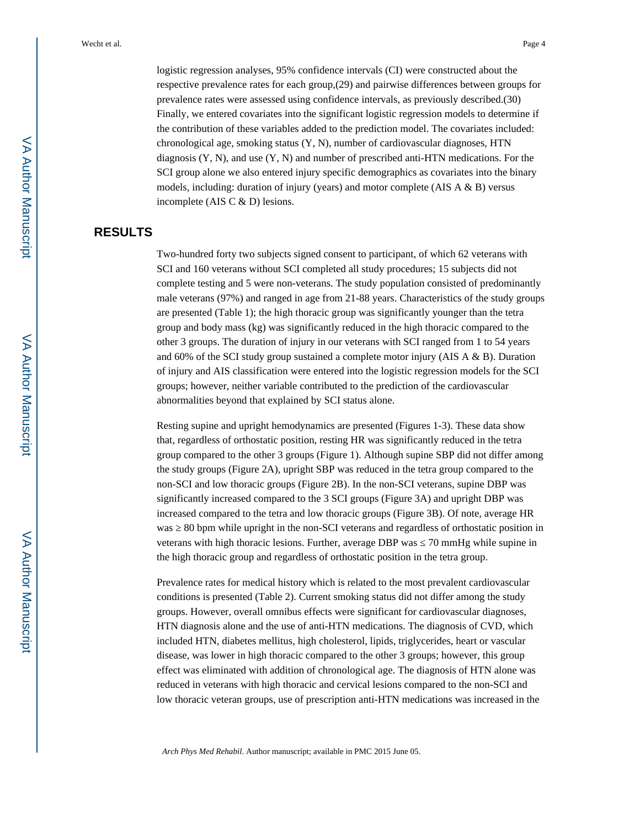logistic regression analyses, 95% confidence intervals (CI) were constructed about the respective prevalence rates for each group,(29) and pairwise differences between groups for prevalence rates were assessed using confidence intervals, as previously described.(30) Finally, we entered covariates into the significant logistic regression models to determine if the contribution of these variables added to the prediction model. The covariates included: chronological age, smoking status (Y, N), number of cardiovascular diagnoses, HTN diagnosis (Y, N), and use (Y, N) and number of prescribed anti-HTN medications. For the SCI group alone we also entered injury specific demographics as covariates into the binary models, including: duration of injury (years) and motor complete (AIS  $A \& B$ ) versus incomplete (AIS C & D) lesions.

## **RESULTS**

Two-hundred forty two subjects signed consent to participant, of which 62 veterans with SCI and 160 veterans without SCI completed all study procedures; 15 subjects did not complete testing and 5 were non-veterans. The study population consisted of predominantly male veterans (97%) and ranged in age from 21-88 years. Characteristics of the study groups are presented (Table 1); the high thoracic group was significantly younger than the tetra group and body mass (kg) was significantly reduced in the high thoracic compared to the other 3 groups. The duration of injury in our veterans with SCI ranged from 1 to 54 years and 60% of the SCI study group sustained a complete motor injury (AIS A & B). Duration of injury and AIS classification were entered into the logistic regression models for the SCI groups; however, neither variable contributed to the prediction of the cardiovascular abnormalities beyond that explained by SCI status alone.

Resting supine and upright hemodynamics are presented (Figures 1-3). These data show that, regardless of orthostatic position, resting HR was significantly reduced in the tetra group compared to the other 3 groups (Figure 1). Although supine SBP did not differ among the study groups (Figure 2A), upright SBP was reduced in the tetra group compared to the non-SCI and low thoracic groups (Figure 2B). In the non-SCI veterans, supine DBP was significantly increased compared to the 3 SCI groups (Figure 3A) and upright DBP was increased compared to the tetra and low thoracic groups (Figure 3B). Of note, average HR was 20 bpm while upright in the non-SCI veterans and regardless of orthostatic position in veterans with high thoracic lesions. Further, average DBP was  $\sim$  70 mmHg while supine in the high thoracic group and regardless of orthostatic position in the tetra group.

Prevalence rates for medical history which is related to the most prevalent cardiovascular conditions is presented (Table 2). Current smoking status did not differ among the study groups. However, overall omnibus effects were significant for cardiovascular diagnoses, HTN diagnosis alone and the use of anti-HTN medications. The diagnosis of CVD, which included HTN, diabetes mellitus, high cholesterol, lipids, triglycerides, heart or vascular disease, was lower in high thoracic compared to the other 3 groups; however, this group effect was eliminated with addition of chronological age. The diagnosis of HTN alone was reduced in veterans with high thoracic and cervical lesions compared to the non-SCI and low thoracic veteran groups, use of prescription anti-HTN medications was increased in the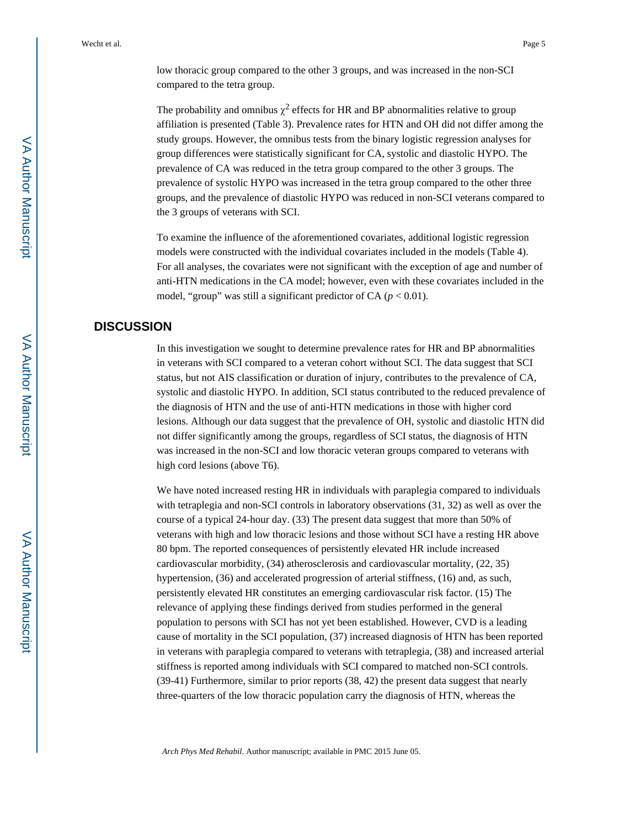low thoracic group compared to the other 3 groups, and was increased in the non-SCI compared to the tetra group.

The probability and omnibus  $\chi^2$  effects for HR and BP abnormalities relative to group affiliation is presented (Table 3). Prevalence rates for HTN and OH did not differ among the study groups. However, the omnibus tests from the binary logistic regression analyses for group differences were statistically significant for CA, systolic and diastolic HYPO. The prevalence of CA was reduced in the tetra group compared to the other 3 groups. The prevalence of systolic HYPO was increased in the tetra group compared to the other three groups, and the prevalence of diastolic HYPO was reduced in non-SCI veterans compared to the 3 groups of veterans with SCI.

To examine the influence of the aforementioned covariates, additional logistic regression models were constructed with the individual covariates included in the models (Table 4). For all analyses, the covariates were not significant with the exception of age and number of anti-HTN medications in the CA model; however, even with these covariates included in the model, "group" was still a significant predictor of CA  $(p < 0.01)$ .

## **DISCUSSION**

In this investigation we sought to determine prevalence rates for HR and BP abnormalities in veterans with SCI compared to a veteran cohort without SCI. The data suggest that SCI status, but not AIS classification or duration of injury, contributes to the prevalence of CA, systolic and diastolic HYPO. In addition, SCI status contributed to the reduced prevalence of the diagnosis of HTN and the use of anti-HTN medications in those with higher cord lesions. Although our data suggest that the prevalence of OH, systolic and diastolic HTN did not differ significantly among the groups, regardless of SCI status, the diagnosis of HTN was increased in the non-SCI and low thoracic veteran groups compared to veterans with high cord lesions (above T6).

We have noted increased resting HR in individuals with paraplegia compared to individuals with tetraplegia and non-SCI controls in laboratory observations (31, 32) as well as over the course of a typical 24-hour day. (33) The present data suggest that more than 50% of veterans with high and low thoracic lesions and those without SCI have a resting HR above 80 bpm. The reported consequences of persistently elevated HR include increased cardiovascular morbidity, (34) atherosclerosis and cardiovascular mortality, (22, 35) hypertension, (36) and accelerated progression of arterial stiffness, (16) and, as such, persistently elevated HR constitutes an emerging cardiovascular risk factor. (15) The relevance of applying these findings derived from studies performed in the general population to persons with SCI has not yet been established. However, CVD is a leading cause of mortality in the SCI population, (37) increased diagnosis of HTN has been reported in veterans with paraplegia compared to veterans with tetraplegia, (38) and increased arterial stiffness is reported among individuals with SCI compared to matched non-SCI controls. (39-41) Furthermore, similar to prior reports (38, 42) the present data suggest that nearly three-quarters of the low thoracic population carry the diagnosis of HTN, whereas the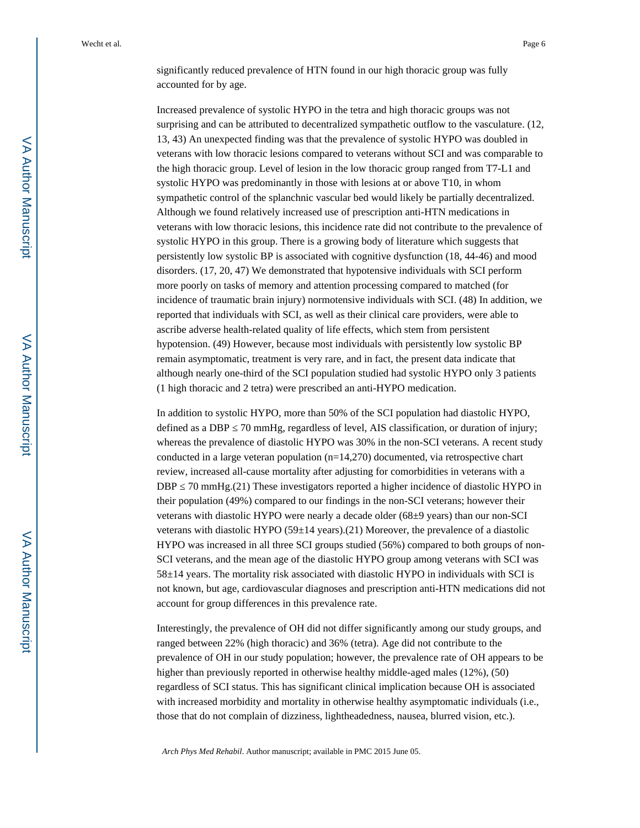significantly reduced prevalence of HTN found in our high thoracic group was fully accounted for by age.

Increased prevalence of systolic HYPO in the tetra and high thoracic groups was not surprising and can be attributed to decentralized sympathetic outflow to the vasculature. (12, 13, 43) An unexpected finding was that the prevalence of systolic HYPO was doubled in veterans with low thoracic lesions compared to veterans without SCI and was comparable to the high thoracic group. Level of lesion in the low thoracic group ranged from T7-L1 and systolic HYPO was predominantly in those with lesions at or above T10, in whom sympathetic control of the splanchnic vascular bed would likely be partially decentralized. Although we found relatively increased use of prescription anti-HTN medications in veterans with low thoracic lesions, this incidence rate did not contribute to the prevalence of systolic HYPO in this group. There is a growing body of literature which suggests that persistently low systolic BP is associated with cognitive dysfunction (18, 44-46) and mood disorders. (17, 20, 47) We demonstrated that hypotensive individuals with SCI perform more poorly on tasks of memory and attention processing compared to matched (for incidence of traumatic brain injury) normotensive individuals with SCI. (48) In addition, we reported that individuals with SCI, as well as their clinical care providers, were able to ascribe adverse health-related quality of life effects, which stem from persistent hypotension. (49) However, because most individuals with persistently low systolic BP remain asymptomatic, treatment is very rare, and in fact, the present data indicate that although nearly one-third of the SCI population studied had systolic HYPO only 3 patients (1 high thoracic and 2 tetra) were prescribed an anti-HYPO medication.

In addition to systolic HYPO, more than 50% of the SCI population had diastolic HYPO, defined as a DBP  $\,$  70 mmHg, regardless of level, AIS classification, or duration of injury; whereas the prevalence of diastolic HYPO was 30% in the non-SCI veterans. A recent study conducted in a large veteran population (n=14,270) documented, via retrospective chart review, increased all-cause mortality after adjusting for comorbidities in veterans with a DBP  $\,$  70 mmHg.(21) These investigators reported a higher incidence of diastolic HYPO in their population (49%) compared to our findings in the non-SCI veterans; however their veterans with diastolic HYPO were nearly a decade older (68±9 years) than our non-SCI veterans with diastolic HYPO ( $59\pm14$  years).(21) Moreover, the prevalence of a diastolic HYPO was increased in all three SCI groups studied (56%) compared to both groups of non-SCI veterans, and the mean age of the diastolic HYPO group among veterans with SCI was 58±14 years. The mortality risk associated with diastolic HYPO in individuals with SCI is not known, but age, cardiovascular diagnoses and prescription anti-HTN medications did not account for group differences in this prevalence rate.

Interestingly, the prevalence of OH did not differ significantly among our study groups, and ranged between 22% (high thoracic) and 36% (tetra). Age did not contribute to the prevalence of OH in our study population; however, the prevalence rate of OH appears to be higher than previously reported in otherwise healthy middle-aged males (12%), (50) regardless of SCI status. This has significant clinical implication because OH is associated with increased morbidity and mortality in otherwise healthy asymptomatic individuals (i.e., those that do not complain of dizziness, lightheadedness, nausea, blurred vision, etc.).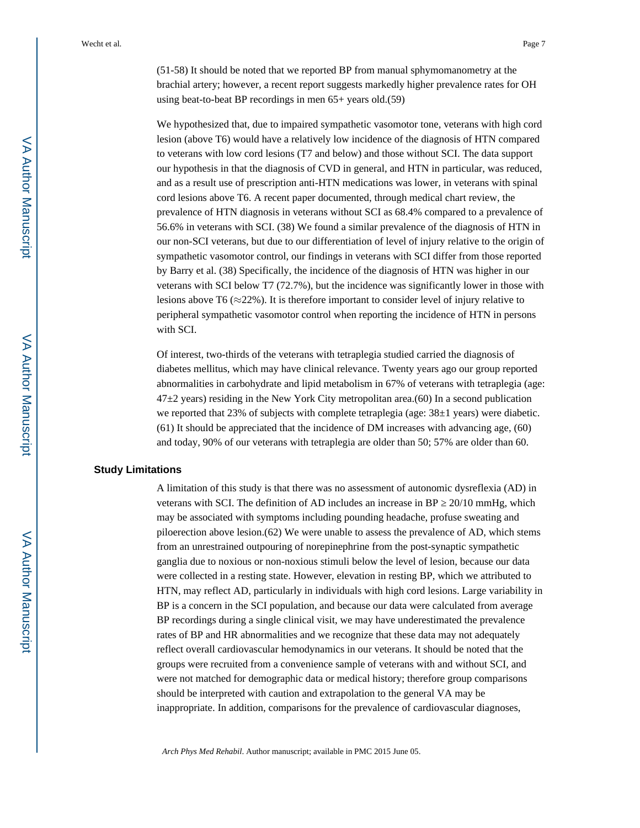(51-58) It should be noted that we reported BP from manual sphymomanometry at the brachial artery; however, a recent report suggests markedly higher prevalence rates for OH using beat-to-beat BP recordings in men 65+ years old.(59)

We hypothesized that, due to impaired sympathetic vasomotor tone, veterans with high cord lesion (above T6) would have a relatively low incidence of the diagnosis of HTN compared to veterans with low cord lesions (T7 and below) and those without SCI. The data support our hypothesis in that the diagnosis of CVD in general, and HTN in particular, was reduced, and as a result use of prescription anti-HTN medications was lower, in veterans with spinal cord lesions above T6. A recent paper documented, through medical chart review, the prevalence of HTN diagnosis in veterans without SCI as 68.4% compared to a prevalence of 56.6% in veterans with SCI. (38) We found a similar prevalence of the diagnosis of HTN in our non-SCI veterans, but due to our differentiation of level of injury relative to the origin of sympathetic vasomotor control, our findings in veterans with SCI differ from those reported by Barry et al. (38) Specifically, the incidence of the diagnosis of HTN was higher in our veterans with SCI below T7 (72.7%), but the incidence was significantly lower in those with lesions above T6 ( $\approx$ 22%). It is therefore important to consider level of injury relative to peripheral sympathetic vasomotor control when reporting the incidence of HTN in persons with SCI.

Of interest, two-thirds of the veterans with tetraplegia studied carried the diagnosis of diabetes mellitus, which may have clinical relevance. Twenty years ago our group reported abnormalities in carbohydrate and lipid metabolism in 67% of veterans with tetraplegia (age:  $47\pm2$  years) residing in the New York City metropolitan area.(60) In a second publication we reported that 23% of subjects with complete tetraplegia (age:  $38\pm1$  years) were diabetic. (61) It should be appreciated that the incidence of DM increases with advancing age, (60) and today, 90% of our veterans with tetraplegia are older than 50; 57% are older than 60.

#### **Study Limitations**

A limitation of this study is that there was no assessment of autonomic dysreflexia (AD) in veterans with SCI. The definition of AD includes an increase in BP  $\,20/10 \text{ mmHg}$ , which may be associated with symptoms including pounding headache, profuse sweating and piloerection above lesion.(62) We were unable to assess the prevalence of AD, which stems from an unrestrained outpouring of norepinephrine from the post-synaptic sympathetic ganglia due to noxious or non-noxious stimuli below the level of lesion, because our data were collected in a resting state. However, elevation in resting BP, which we attributed to HTN, may reflect AD, particularly in individuals with high cord lesions. Large variability in BP is a concern in the SCI population, and because our data were calculated from average BP recordings during a single clinical visit, we may have underestimated the prevalence rates of BP and HR abnormalities and we recognize that these data may not adequately reflect overall cardiovascular hemodynamics in our veterans. It should be noted that the groups were recruited from a convenience sample of veterans with and without SCI, and were not matched for demographic data or medical history; therefore group comparisons should be interpreted with caution and extrapolation to the general VA may be inappropriate. In addition, comparisons for the prevalence of cardiovascular diagnoses,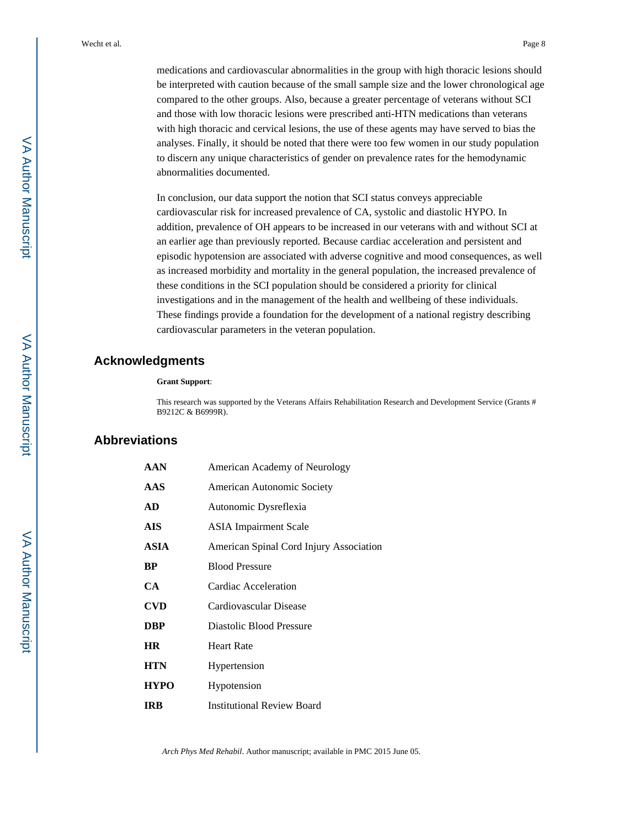medications and cardiovascular abnormalities in the group with high thoracic lesions should be interpreted with caution because of the small sample size and the lower chronological age compared to the other groups. Also, because a greater percentage of veterans without SCI and those with low thoracic lesions were prescribed anti-HTN medications than veterans with high thoracic and cervical lesions, the use of these agents may have served to bias the analyses. Finally, it should be noted that there were too few women in our study population to discern any unique characteristics of gender on prevalence rates for the hemodynamic abnormalities documented.

In conclusion, our data support the notion that SCI status conveys appreciable cardiovascular risk for increased prevalence of CA, systolic and diastolic HYPO. In addition, prevalence of OH appears to be increased in our veterans with and without SCI at an earlier age than previously reported. Because cardiac acceleration and persistent and episodic hypotension are associated with adverse cognitive and mood consequences, as well as increased morbidity and mortality in the general population, the increased prevalence of these conditions in the SCI population should be considered a priority for clinical investigations and in the management of the health and wellbeing of these individuals. These findings provide a foundation for the development of a national registry describing cardiovascular parameters in the veteran population.

## **Acknowledgments**

#### **Grant Support**:

This research was supported by the Veterans Affairs Rehabilitation Research and Development Service (Grants # B9212C & B6999R).

## **Abbreviations**

| <b>AAN</b>  | American Academy of Neurology           |
|-------------|-----------------------------------------|
| <b>AAS</b>  | American Autonomic Society              |
| AD          | Autonomic Dysreflexia                   |
| AIS         | <b>ASIA</b> Impairment Scale            |
| ASIA        | American Spinal Cord Injury Association |
| BP          | <b>Blood Pressure</b>                   |
| CA          | Cardiac Acceleration                    |
| <b>CVD</b>  | Cardiovascular Disease                  |
| <b>DBP</b>  | Diastolic Blood Pressure                |
| <b>HR</b>   | <b>Heart Rate</b>                       |
| <b>HTN</b>  | Hypertension                            |
| <b>HYPO</b> | Hypotension                             |
| <b>IRB</b>  | <b>Institutional Review Board</b>       |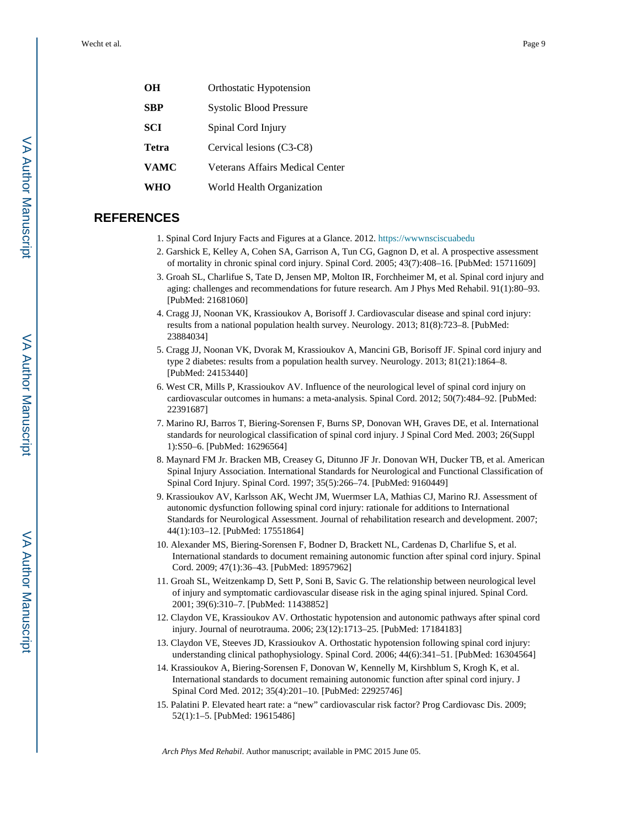| OН         | Orthostatic Hypotension         |
|------------|---------------------------------|
| <b>SBP</b> | Systolic Blood Pressure         |
| <b>SCI</b> | Spinal Cord Injury              |
| Tetra      | Cervical lesions (C3-C8)        |
| VAMC       | Veterans Affairs Medical Center |
| WHO        | World Health Organization       |
|            |                                 |

## **REFERENCES**

1. Spinal Cord Injury Facts and Figures at a Glance. 2012. [https://wwwnsciscuabedu](http://https://wwwnsciscuabedu)

- 2. Garshick E, Kelley A, Cohen SA, Garrison A, Tun CG, Gagnon D, et al. A prospective assessment of mortality in chronic spinal cord injury. Spinal Cord. 2005; 43(7):408–16. [PubMed: 15711609]
- 3. Groah SL, Charlifue S, Tate D, Jensen MP, Molton IR, Forchheimer M, et al. Spinal cord injury and aging: challenges and recommendations for future research. Am J Phys Med Rehabil. 91(1):80–93. [PubMed: 21681060]
- 4. Cragg JJ, Noonan VK, Krassioukov A, Borisoff J. Cardiovascular disease and spinal cord injury: results from a national population health survey. Neurology. 2013; 81(8):723–8. [PubMed: 23884034]
- 5. Cragg JJ, Noonan VK, Dvorak M, Krassioukov A, Mancini GB, Borisoff JF. Spinal cord injury and type 2 diabetes: results from a population health survey. Neurology. 2013; 81(21):1864–8. [PubMed: 24153440]
- 6. West CR, Mills P, Krassioukov AV. Influence of the neurological level of spinal cord injury on cardiovascular outcomes in humans: a meta-analysis. Spinal Cord. 2012; 50(7):484–92. [PubMed: 22391687]
- 7. Marino RJ, Barros T, Biering-Sorensen F, Burns SP, Donovan WH, Graves DE, et al. International standards for neurological classification of spinal cord injury. J Spinal Cord Med. 2003; 26(Suppl 1):S50–6. [PubMed: 16296564]
- 8. Maynard FM Jr. Bracken MB, Creasey G, Ditunno JF Jr. Donovan WH, Ducker TB, et al. American Spinal Injury Association. International Standards for Neurological and Functional Classification of Spinal Cord Injury. Spinal Cord. 1997; 35(5):266–74. [PubMed: 9160449]
- 9. Krassioukov AV, Karlsson AK, Wecht JM, Wuermser LA, Mathias CJ, Marino RJ. Assessment of autonomic dysfunction following spinal cord injury: rationale for additions to International Standards for Neurological Assessment. Journal of rehabilitation research and development. 2007; 44(1):103–12. [PubMed: 17551864]
- 10. Alexander MS, Biering-Sorensen F, Bodner D, Brackett NL, Cardenas D, Charlifue S, et al. International standards to document remaining autonomic function after spinal cord injury. Spinal Cord. 2009; 47(1):36–43. [PubMed: 18957962]
- 11. Groah SL, Weitzenkamp D, Sett P, Soni B, Savic G. The relationship between neurological level of injury and symptomatic cardiovascular disease risk in the aging spinal injured. Spinal Cord. 2001; 39(6):310–7. [PubMed: 11438852]
- 12. Claydon VE, Krassioukov AV. Orthostatic hypotension and autonomic pathways after spinal cord injury. Journal of neurotrauma. 2006; 23(12):1713–25. [PubMed: 17184183]
- 13. Claydon VE, Steeves JD, Krassioukov A. Orthostatic hypotension following spinal cord injury: understanding clinical pathophysiology. Spinal Cord. 2006; 44(6):341–51. [PubMed: 16304564]
- 14. Krassioukov A, Biering-Sorensen F, Donovan W, Kennelly M, Kirshblum S, Krogh K, et al. International standards to document remaining autonomic function after spinal cord injury. J Spinal Cord Med. 2012; 35(4):201–10. [PubMed: 22925746]
- 15. Palatini P. Elevated heart rate: a "new" cardiovascular risk factor? Prog Cardiovasc Dis. 2009; 52(1):1–5. [PubMed: 19615486]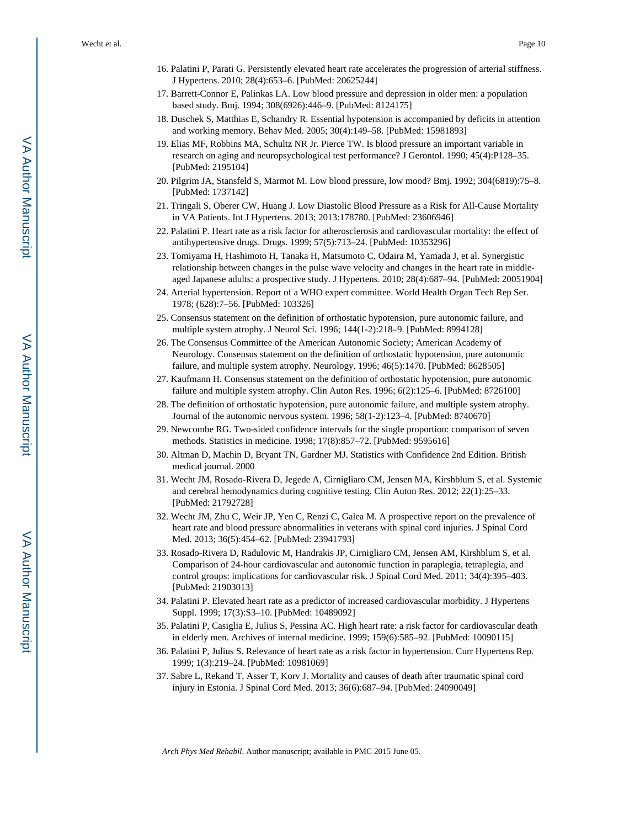- 16. Palatini P, Parati G. Persistently elevated heart rate accelerates the progression of arterial stiffness. J Hypertens. 2010; 28(4):653–6. [PubMed: 20625244]
- 17. Barrett-Connor E, Palinkas LA. Low blood pressure and depression in older men: a population based study. Bmj. 1994; 308(6926):446–9. [PubMed: 8124175]
- 18. Duschek S, Matthias E, Schandry R. Essential hypotension is accompanied by deficits in attention and working memory. Behav Med. 2005; 30(4):149–58. [PubMed: 15981893]
- 19. Elias MF, Robbins MA, Schultz NR Jr. Pierce TW. Is blood pressure an important variable in research on aging and neuropsychological test performance? J Gerontol. 1990; 45(4):P128–35. [PubMed: 2195104]
- 20. Pilgrim JA, Stansfeld S, Marmot M. Low blood pressure, low mood? Bmj. 1992; 304(6819):75–8. [PubMed: 1737142]
- 21. Tringali S, Oberer CW, Huang J. Low Diastolic Blood Pressure as a Risk for All-Cause Mortality in VA Patients. Int J Hypertens. 2013; 2013:178780. [PubMed: 23606946]
- 22. Palatini P. Heart rate as a risk factor for atherosclerosis and cardiovascular mortality: the effect of antihypertensive drugs. Drugs. 1999; 57(5):713–24. [PubMed: 10353296]
- 23. Tomiyama H, Hashimoto H, Tanaka H, Matsumoto C, Odaira M, Yamada J, et al. Synergistic relationship between changes in the pulse wave velocity and changes in the heart rate in middleaged Japanese adults: a prospective study. J Hypertens. 2010; 28(4):687–94. [PubMed: 20051904]
- 24. Arterial hypertension. Report of a WHO expert committee. World Health Organ Tech Rep Ser. 1978; (628):7–56. [PubMed: 103326]
- 25. Consensus statement on the definition of orthostatic hypotension, pure autonomic failure, and multiple system atrophy. J Neurol Sci. 1996; 144(1-2):218–9. [PubMed: 8994128]
- 26. The Consensus Committee of the American Autonomic Society; American Academy of Neurology. Consensus statement on the definition of orthostatic hypotension, pure autonomic failure, and multiple system atrophy. Neurology. 1996; 46(5):1470. [PubMed: 8628505]
- 27. Kaufmann H. Consensus statement on the definition of orthostatic hypotension, pure autonomic failure and multiple system atrophy. Clin Auton Res. 1996; 6(2):125–6. [PubMed: 8726100]
- 28. The definition of orthostatic hypotension, pure autonomic failure, and multiple system atrophy. Journal of the autonomic nervous system. 1996; 58(1-2):123–4. [PubMed: 8740670]
- 29. Newcombe RG. Two-sided confidence intervals for the single proportion: comparison of seven methods. Statistics in medicine. 1998; 17(8):857–72. [PubMed: 9595616]
- 30. Altman D, Machin D, Bryant TN, Gardner MJ. Statistics with Confidence 2nd Edition. British medical journal. 2000
- 31. Wecht JM, Rosado-Rivera D, Jegede A, Cirnigliaro CM, Jensen MA, Kirshblum S, et al. Systemic and cerebral hemodynamics during cognitive testing. Clin Auton Res. 2012; 22(1):25–33. [PubMed: 21792728]
- 32. Wecht JM, Zhu C, Weir JP, Yen C, Renzi C, Galea M. A prospective report on the prevalence of heart rate and blood pressure abnormalities in veterans with spinal cord injuries. J Spinal Cord Med. 2013; 36(5):454–62. [PubMed: 23941793]
- 33. Rosado-Rivera D, Radulovic M, Handrakis JP, Cirnigliaro CM, Jensen AM, Kirshblum S, et al. Comparison of 24-hour cardiovascular and autonomic function in paraplegia, tetraplegia, and control groups: implications for cardiovascular risk. J Spinal Cord Med. 2011; 34(4):395–403. [PubMed: 21903013]
- 34. Palatini P. Elevated heart rate as a predictor of increased cardiovascular morbidity. J Hypertens Suppl. 1999; 17(3):S3–10. [PubMed: 10489092]
- 35. Palatini P, Casiglia E, Julius S, Pessina AC. High heart rate: a risk factor for cardiovascular death in elderly men. Archives of internal medicine. 1999; 159(6):585–92. [PubMed: 10090115]
- 36. Palatini P, Julius S. Relevance of heart rate as a risk factor in hypertension. Curr Hypertens Rep. 1999; 1(3):219–24. [PubMed: 10981069]
- 37. Sabre L, Rekand T, Asser T, Korv J. Mortality and causes of death after traumatic spinal cord injury in Estonia. J Spinal Cord Med. 2013; 36(6):687–94. [PubMed: 24090049]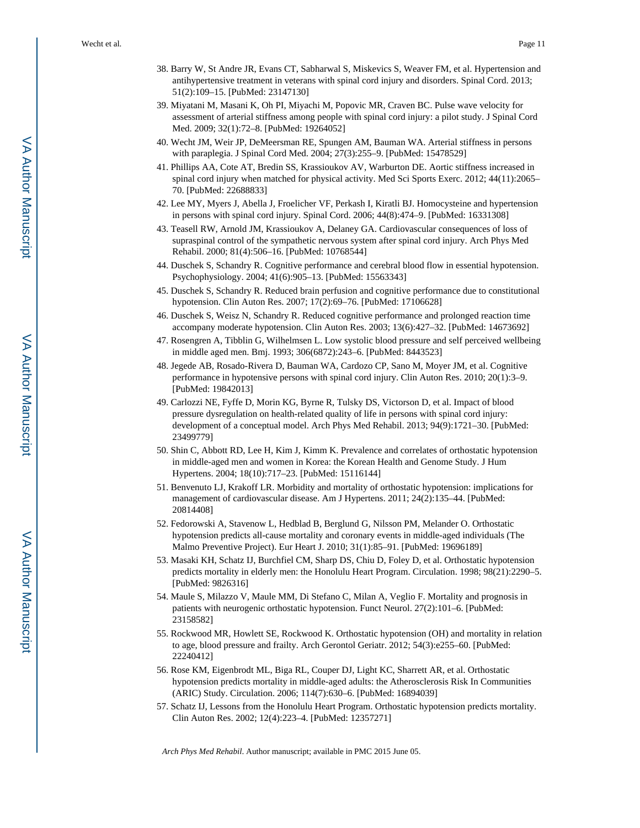- 38. Barry W, St Andre JR, Evans CT, Sabharwal S, Miskevics S, Weaver FM, et al. Hypertension and antihypertensive treatment in veterans with spinal cord injury and disorders. Spinal Cord. 2013; 51(2):109–15. [PubMed: 23147130]
- 39. Miyatani M, Masani K, Oh PI, Miyachi M, Popovic MR, Craven BC. Pulse wave velocity for assessment of arterial stiffness among people with spinal cord injury: a pilot study. J Spinal Cord Med. 2009; 32(1):72–8. [PubMed: 19264052]
- 40. Wecht JM, Weir JP, DeMeersman RE, Spungen AM, Bauman WA. Arterial stiffness in persons with paraplegia. J Spinal Cord Med. 2004; 27(3):255–9. [PubMed: 15478529]
- 41. Phillips AA, Cote AT, Bredin SS, Krassioukov AV, Warburton DE. Aortic stiffness increased in spinal cord injury when matched for physical activity. Med Sci Sports Exerc. 2012; 44(11):2065– 70. [PubMed: 22688833]
- 42. Lee MY, Myers J, Abella J, Froelicher VF, Perkash I, Kiratli BJ. Homocysteine and hypertension in persons with spinal cord injury. Spinal Cord. 2006; 44(8):474–9. [PubMed: 16331308]
- 43. Teasell RW, Arnold JM, Krassioukov A, Delaney GA. Cardiovascular consequences of loss of supraspinal control of the sympathetic nervous system after spinal cord injury. Arch Phys Med Rehabil. 2000; 81(4):506–16. [PubMed: 10768544]
- 44. Duschek S, Schandry R. Cognitive performance and cerebral blood flow in essential hypotension. Psychophysiology. 2004; 41(6):905–13. [PubMed: 15563343]
- 45. Duschek S, Schandry R. Reduced brain perfusion and cognitive performance due to constitutional hypotension. Clin Auton Res. 2007; 17(2):69–76. [PubMed: 17106628]
- 46. Duschek S, Weisz N, Schandry R. Reduced cognitive performance and prolonged reaction time accompany moderate hypotension. Clin Auton Res. 2003; 13(6):427–32. [PubMed: 14673692]
- 47. Rosengren A, Tibblin G, Wilhelmsen L. Low systolic blood pressure and self perceived wellbeing in middle aged men. Bmj. 1993; 306(6872):243–6. [PubMed: 8443523]
- 48. Jegede AB, Rosado-Rivera D, Bauman WA, Cardozo CP, Sano M, Moyer JM, et al. Cognitive performance in hypotensive persons with spinal cord injury. Clin Auton Res. 2010; 20(1):3–9. [PubMed: 19842013]
- 49. Carlozzi NE, Fyffe D, Morin KG, Byrne R, Tulsky DS, Victorson D, et al. Impact of blood pressure dysregulation on health-related quality of life in persons with spinal cord injury: development of a conceptual model. Arch Phys Med Rehabil. 2013; 94(9):1721–30. [PubMed: 23499779]
- 50. Shin C, Abbott RD, Lee H, Kim J, Kimm K. Prevalence and correlates of orthostatic hypotension in middle-aged men and women in Korea: the Korean Health and Genome Study. J Hum Hypertens. 2004; 18(10):717–23. [PubMed: 15116144]
- 51. Benvenuto LJ, Krakoff LR. Morbidity and mortality of orthostatic hypotension: implications for management of cardiovascular disease. Am J Hypertens. 2011; 24(2):135–44. [PubMed: 20814408]
- 52. Fedorowski A, Stavenow L, Hedblad B, Berglund G, Nilsson PM, Melander O. Orthostatic hypotension predicts all-cause mortality and coronary events in middle-aged individuals (The Malmo Preventive Project). Eur Heart J. 2010; 31(1):85–91. [PubMed: 19696189]
- 53. Masaki KH, Schatz IJ, Burchfiel CM, Sharp DS, Chiu D, Foley D, et al. Orthostatic hypotension predicts mortality in elderly men: the Honolulu Heart Program. Circulation. 1998; 98(21):2290–5. [PubMed: 9826316]
- 54. Maule S, Milazzo V, Maule MM, Di Stefano C, Milan A, Veglio F. Mortality and prognosis in patients with neurogenic orthostatic hypotension. Funct Neurol. 27(2):101–6. [PubMed: 23158582]
- 55. Rockwood MR, Howlett SE, Rockwood K. Orthostatic hypotension (OH) and mortality in relation to age, blood pressure and frailty. Arch Gerontol Geriatr. 2012; 54(3):e255–60. [PubMed: 22240412]
- 56. Rose KM, Eigenbrodt ML, Biga RL, Couper DJ, Light KC, Sharrett AR, et al. Orthostatic hypotension predicts mortality in middle-aged adults: the Atherosclerosis Risk In Communities (ARIC) Study. Circulation. 2006; 114(7):630–6. [PubMed: 16894039]
- 57. Schatz IJ, Lessons from the Honolulu Heart Program. Orthostatic hypotension predicts mortality. Clin Auton Res. 2002; 12(4):223–4. [PubMed: 12357271]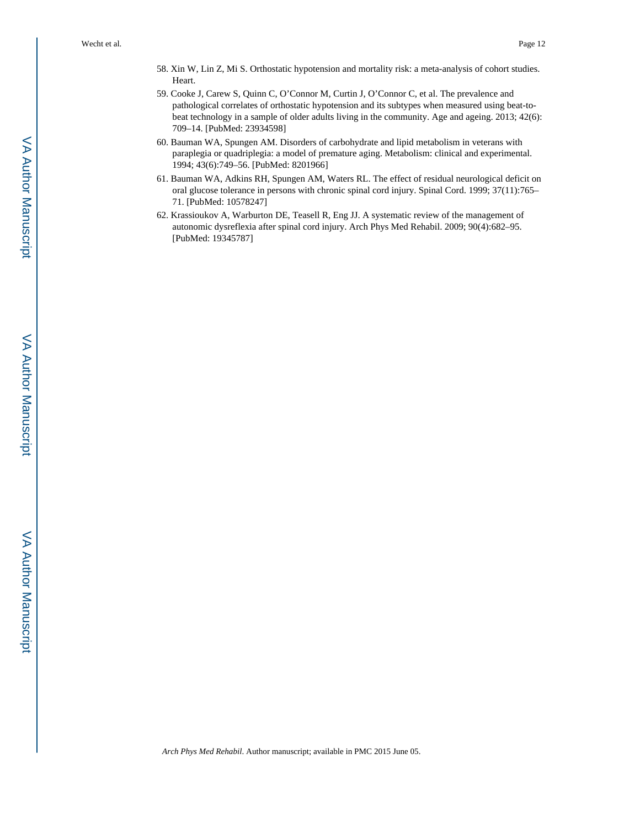- 58. Xin W, Lin Z, Mi S. Orthostatic hypotension and mortality risk: a meta-analysis of cohort studies. Heart.
- 59. Cooke J, Carew S, Quinn C, O'Connor M, Curtin J, O'Connor C, et al. The prevalence and pathological correlates of orthostatic hypotension and its subtypes when measured using beat-tobeat technology in a sample of older adults living in the community. Age and ageing. 2013; 42(6): 709–14. [PubMed: 23934598]
- 60. Bauman WA, Spungen AM. Disorders of carbohydrate and lipid metabolism in veterans with paraplegia or quadriplegia: a model of premature aging. Metabolism: clinical and experimental. 1994; 43(6):749–56. [PubMed: 8201966]
- 61. Bauman WA, Adkins RH, Spungen AM, Waters RL. The effect of residual neurological deficit on oral glucose tolerance in persons with chronic spinal cord injury. Spinal Cord. 1999; 37(11):765– 71. [PubMed: 10578247]
- 62. Krassioukov A, Warburton DE, Teasell R, Eng JJ. A systematic review of the management of autonomic dysreflexia after spinal cord injury. Arch Phys Med Rehabil. 2009; 90(4):682–95. [PubMed: 19345787]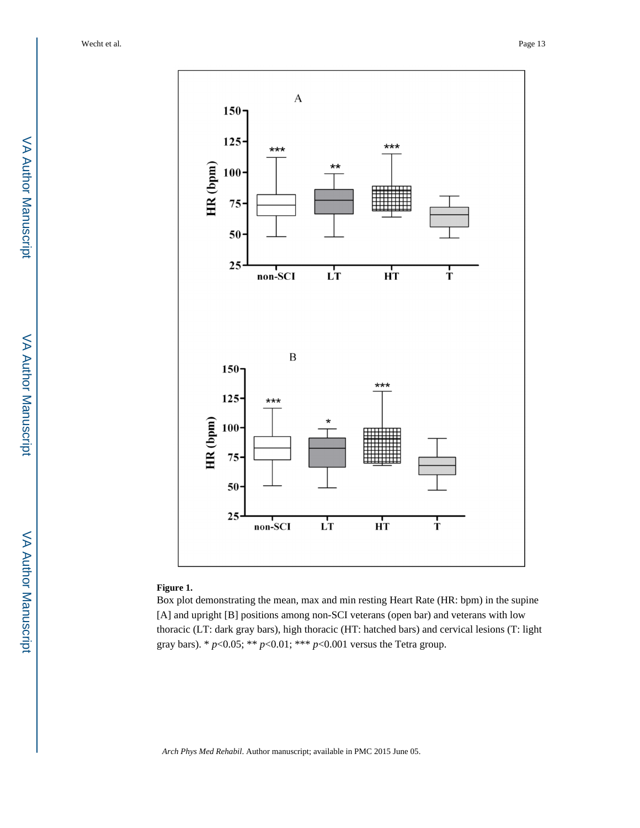

## **Figure 1.**

Box plot demonstrating the mean, max and min resting Heart Rate (HR: bpm) in the supine [A] and upright [B] positions among non-SCI veterans (open bar) and veterans with low thoracic (LT: dark gray bars), high thoracic (HT: hatched bars) and cervical lesions (T: light gray bars). \*  $p < 0.05$ ; \*\*  $p < 0.01$ ; \*\*\*  $p < 0.001$  versus the Tetra group.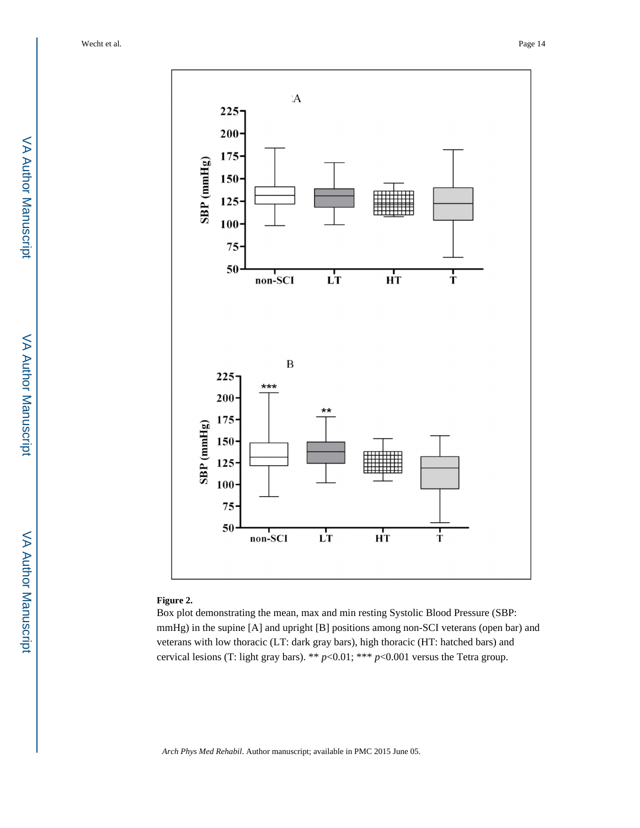

### **Figure 2.**

Box plot demonstrating the mean, max and min resting Systolic Blood Pressure (SBP: mmHg) in the supine [A] and upright [B] positions among non-SCI veterans (open bar) and veterans with low thoracic (LT: dark gray bars), high thoracic (HT: hatched bars) and cervical lesions (T: light gray bars). \*\* *p*<0.01; \*\*\* *p*<0.001 versus the Tetra group.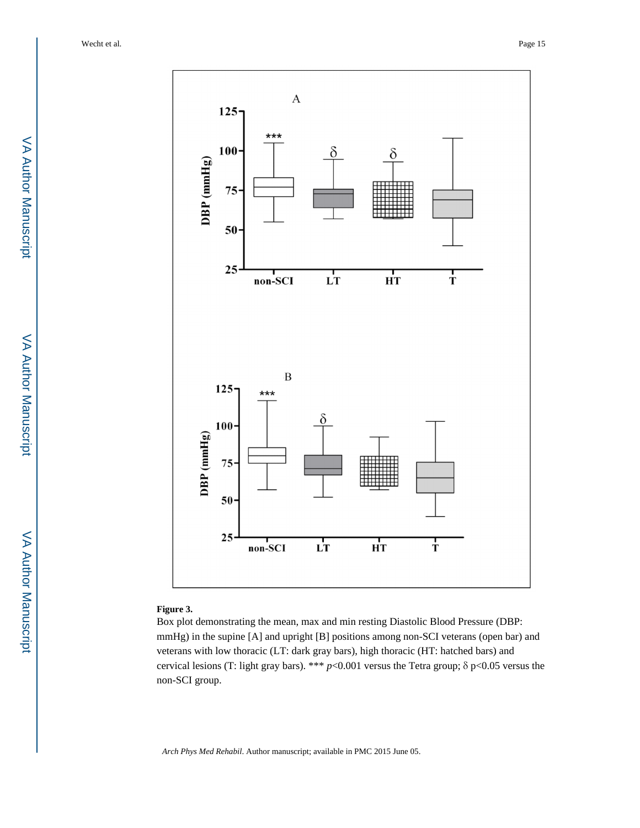

#### **Figure 3.**

Box plot demonstrating the mean, max and min resting Diastolic Blood Pressure (DBP: mmHg) in the supine [A] and upright [B] positions among non-SCI veterans (open bar) and veterans with low thoracic (LT: dark gray bars), high thoracic (HT: hatched bars) and cervical lesions (T: light gray bars). \*\*\* *p*<0.001 versus the Tetra group; δ p<0.05 versus the non-SCI group.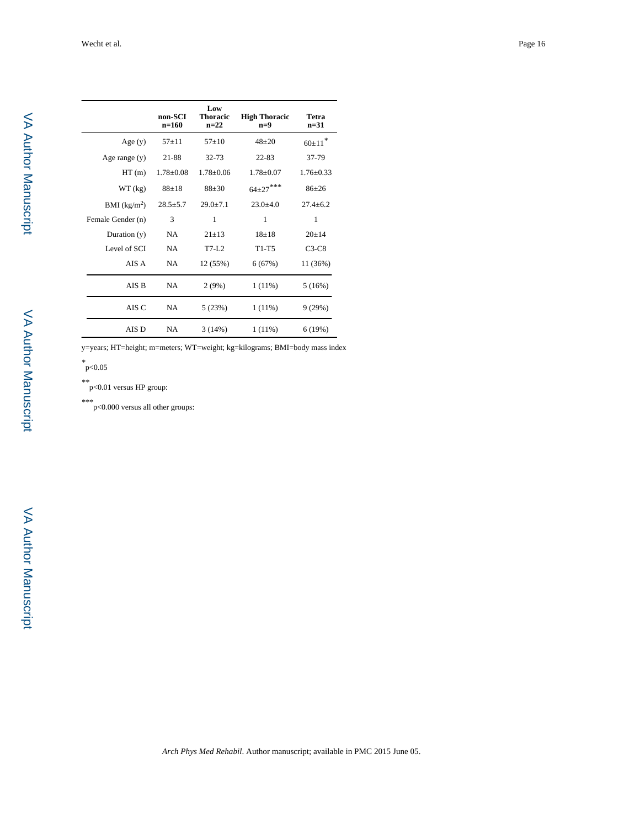| г<br>ļ |
|--------|
|        |
|        |
|        |
| j.     |
|        |
|        |
| ï      |
| í      |
| l      |
|        |
|        |
|        |
| ï      |
|        |
| ī      |
|        |
|        |
| I      |
|        |
|        |
|        |
|        |
|        |
|        |
|        |
|        |
|        |
|        |
|        |
| ٠      |
|        |
|        |

|                          | non-SCI<br>$n=160$ | Low<br><b>Thoracic</b><br>$n=22$ | <b>High Thoracic</b><br>$n=9$ | Tetra<br>$n = 31$ |
|--------------------------|--------------------|----------------------------------|-------------------------------|-------------------|
| Age $(y)$                | $57 + 11$          | $57+10$                          | $48 + 20$                     | $60+11$           |
| Age range $(y)$          | 21-88              | 32-73                            | $22 - 83$                     | 37-79             |
| HT(m)                    | $1.78 \pm 0.08$    | $1.78 \pm 0.06$                  | $1.78 \pm 0.07$               | $1.76 + 0.33$     |
| WT (kg)                  | $88 + 18$          | $88 + 30$                        | $64{\pm}27$ ***               | $86 + 26$         |
| BMI (kg/m <sup>2</sup> ) | $28.5 + 5.7$       | $29.0 + 7.1$                     | $23.0 + 4.0$                  | $27.4 + 6.2$      |
| Female Gender (n)        | 3                  | 1                                | 1                             | 1                 |
| Duration $(y)$           | <b>NA</b>          | $21 + 13$                        | $18 + 18$                     | $20+14$           |
| Level of SCI             | <b>NA</b>          | $T7-L2$                          | $T1-T5$                       | $C3-C8$           |
| AIS A                    | <b>NA</b>          | 12 (55%)                         | 6(67%)                        | 11 (36%)          |
| AIS B                    | <b>NA</b>          | 2(9%)                            | $1(11\%)$                     | 5(16%)            |
| AIS C                    | NA                 | 5(23%)                           | $1(11\%)$                     | 9(29%)            |
| AIS D                    | NA                 | 3(14%)                           | $1(11\%)$                     | 6(19%)            |

y=years; HT=height; m=meters; WT=weight; kg=kilograms; BMI=body mass index

*\** p<0.05

*\*\**p<0.01 versus HP group:

*\*\*\**p<0.000 versus all other groups: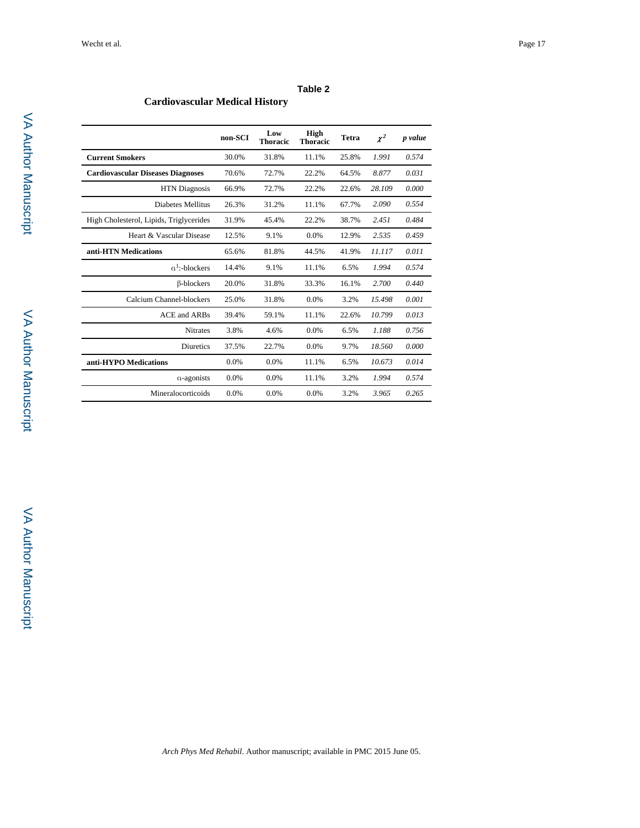| ۰. |  |
|----|--|
|----|--|

**Cardiovascular Medical History**

|                                          | non-SCI | Low<br><b>Thoracic</b> | High<br><b>Thoracic</b> | <b>Tetra</b> | $\chi^2$ | p value |
|------------------------------------------|---------|------------------------|-------------------------|--------------|----------|---------|
| <b>Current Smokers</b>                   | 30.0%   | 31.8%                  | 11.1%                   | 25.8%        | 1.991    | 0.574   |
| <b>Cardiovascular Diseases Diagnoses</b> | 70.6%   | 72.7%                  | 22.2%                   | 64.5%        | 8.877    | 0.031   |
| <b>HTN</b> Diagnosis                     | 66.9%   | 72.7%                  | 22.2%                   | 22.6%        | 28.109   | 0.000   |
| Diabetes Mellitus                        | 26.3%   | 31.2%                  | 11.1%                   | 67.7%        | 2.090    | 0.554   |
| High Cholesterol, Lipids, Triglycerides  | 31.9%   | 45.4%                  | 22.2%                   | 38.7%        | 2.451    | 0.484   |
| Heart & Vascular Disease                 | 12.5%   | 9.1%                   | 0.0%                    | 12.9%        | 2.535    | 0.459   |
| anti-HTN Medications                     | 65.6%   | 81.8%                  | 44.5%                   | 41.9%        | 11.117   | 0.011   |
| $a^1$ :-blockers                         | 14.4%   | 9.1%                   | 11.1%                   | 6.5%         | 1.994    | 0.574   |
| <b>B-blockers</b>                        | 20.0%   | 31.8%                  | 33.3%                   | 16.1%        | 2.700    | 0.440   |
| Calcium Channel-blockers                 | 25.0%   | 31.8%                  | 0.0%                    | 3.2%         | 15.498   | 0.001   |
| <b>ACE</b> and <b>ARBs</b>               | 39.4%   | 59.1%                  | 11.1%                   | 22.6%        | 10.799   | 0.013   |
| <b>Nitrates</b>                          | 3.8%    | 4.6%                   | 0.0%                    | 6.5%         | 1.188    | 0.756   |
| <b>Diuretics</b>                         | 37.5%   | 22.7%                  | 0.0%                    | 9.7%         | 18.560   | 0.000   |
| anti-HYPO Medications                    | 0.0%    | 0.0%                   | 11.1%                   | 6.5%         | 10.673   | 0.014   |
| $\alpha$ -agonists                       | 0.0%    | 0.0%                   | 11.1%                   | 3.2%         | 1.994    | 0.574   |
| Mineralocorticoids                       | 0.0%    | 0.0%                   | 0.0%                    | 3.2%         | 3.965    | 0.265   |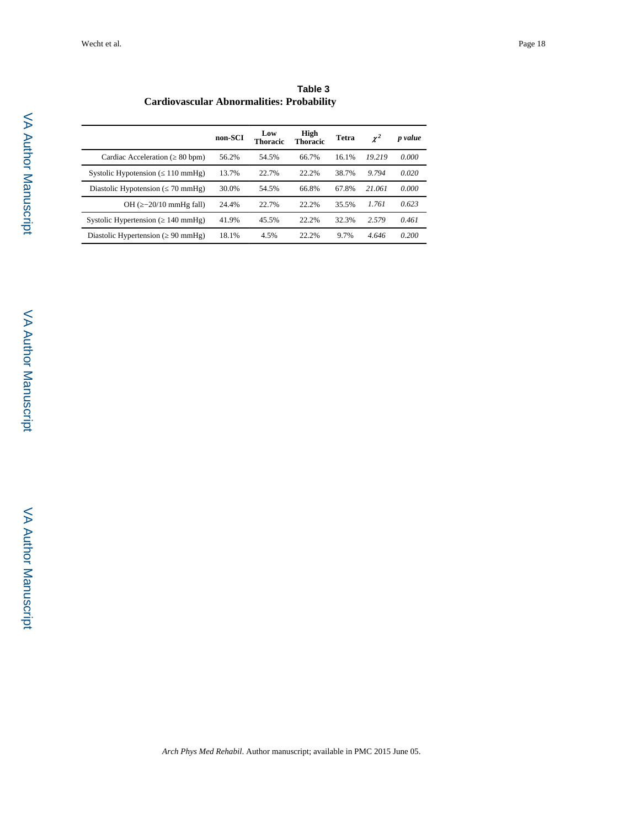|                                                  | Table 3 |
|--------------------------------------------------|---------|
| <b>Cardiovascular Abnormalities: Probability</b> |         |

|                                               | non-SCI | Low<br>Thoracic | High<br><b>Thoracic</b> | Tetra | $\chi^2$ | p value |
|-----------------------------------------------|---------|-----------------|-------------------------|-------|----------|---------|
| Cardiac Acceleration (<br>$80$ bpm $)$        | 56.2%   | 54.5%           | 66.7%                   | 16.1% | 19 219   | 0.000   |
| Systolic Hypotension (<br>$110 \text{ mmHg}$  | 13.7%   | 22.7%           | 22.2%                   | 38.7% | 9.794    | 0.020   |
| Diastolic Hypotension (<br>$70 \text{ mmHg}$  | 30.0%   | 54.5%           | 66.8%                   | 67.8% | 21.061   | 0.000   |
| OH $(-20/10 \text{ mmHe fall})$               | 24.4%   | 22.7%           | 22.2%                   | 35.5% | 1.761    | 0.623   |
| Systolic Hypertension (<br>$140 \text{ mmHg}$ | 41.9%   | 45.5%           | 22.2%                   | 32.3% | 2.579    | 0.461   |
| Diastolic Hypertension (<br>$90 \text{ mmHg}$ | 18.1%   | 4.5%            | 22.2%                   | 9.7%  | 4.646    | 0.200   |
|                                               |         |                 |                         |       |          |         |